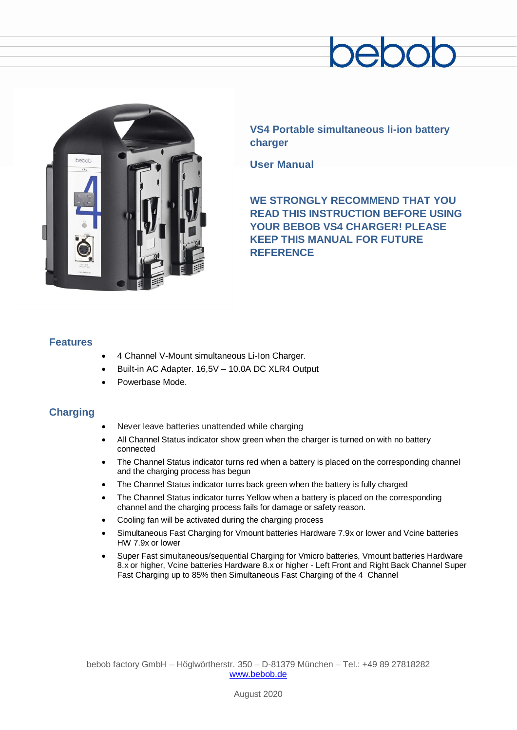# $200$



**VS4 Portable simultaneous li-ion battery charger**

**User Manual**

**WE STRONGLY RECOMMEND THAT YOU READ THIS INSTRUCTION BEFORE USING YOUR BEBOB VS4 CHARGER! PLEASE KEEP THIS MANUAL FOR FUTURE REFERENCE**

#### **Features**

- 4 Channel V-Mount simultaneous Li-Ion Charger.
- Built-in AC Adapter. 16,5V 10.0A DC XLR4 Output
- Powerbase Mode.

### **Charging**

- Never leave batteries unattended while charging
- All Channel Status indicator show green when the charger is turned on with no battery connected
- The Channel Status indicator turns red when a battery is placed on the corresponding channel and the charging process has begun
- The Channel Status indicator turns back green when the battery is fully charged
- The Channel Status indicator turns Yellow when a battery is placed on the corresponding channel and the charging process fails for damage or safety reason.
- Cooling fan will be activated during the charging process
- Simultaneous Fast Charging for Vmount batteries Hardware 7.9x or lower and Vcine batteries HW 7.9x or lower
- Super Fast simultaneous/sequential Charging for Vmicro batteries, Vmount batteries Hardware 8.x or higher, Vcine batteries Hardware 8.x or higher - Left Front and Right Back Channel Super Fast Charging up to 85% then Simultaneous Fast Charging of the 4 Channel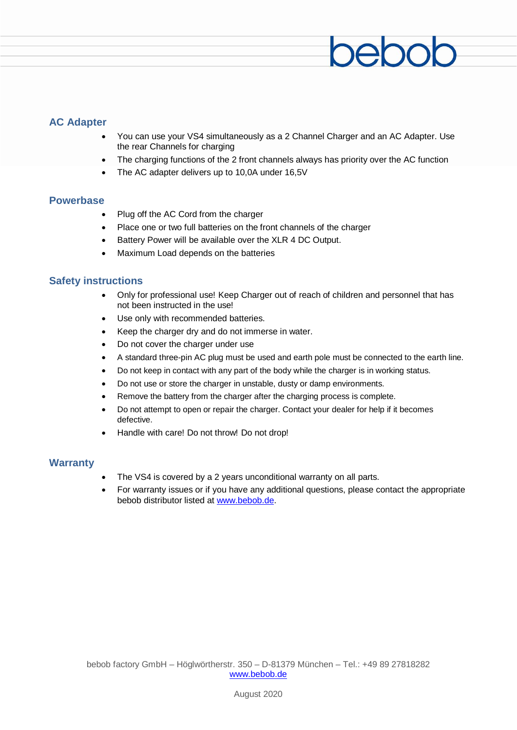## **AC Adapter**

• You can use your VS4 simultaneously as a 2 Channel Charger and an AC Adapter. Use the rear Channels for charging

epc

- The charging functions of the 2 front channels always has priority over the AC function
- The AC adapter delivers up to 10,0A under 16,5V

#### **Powerbase**

- Plug off the AC Cord from the charger
- Place one or two full batteries on the front channels of the charger
- Battery Power will be available over the XLR 4 DC Output.
- Maximum Load depends on the batteries

#### **Safety instructions**

- Only for professional use! Keep Charger out of reach of children and personnel that has not been instructed in the use!
- Use only with recommended batteries.
- Keep the charger dry and do not immerse in water.
- Do not cover the charger under use
- A standard three-pin AC plug must be used and earth pole must be connected to the earth line.
- Do not keep in contact with any part of the body while the charger is in working status.
- Do not use or store the charger in unstable, dusty or damp environments.
- Remove the battery from the charger after the charging process is complete.
- Do not attempt to open or repair the charger. Contact your dealer for help if it becomes defective.
- Handle with care! Do not throw! Do not drop!

#### **Warranty**

- The VS4 is covered by a 2 years unconditional warranty on all parts.
- For warranty issues or if you have any additional questions, please contact the appropriate bebob distributor listed at [www.bebob.de.](http://www.bebob.de/)